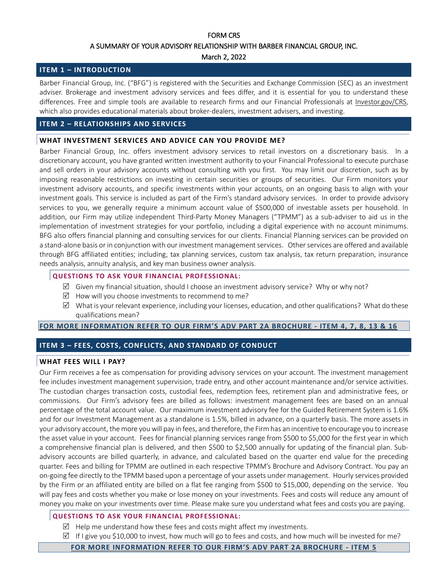# FORM CRS A SUMMARY OF YOUR ADVISORY RELATIONSHIP WITH BARBER FINANCIAL GROUP, INC.

## March 2, 2022

## **ITEM 1 – INTRODUCTION**

Barber Financial Group, Inc. ("BFG") is registered with the Securities and Exchange Commission (SEC) as an investment adviser. Brokerage and investment advisory services and fees differ, and it is essential for you to understand these differences. Free and simple tools are available to research firms and our Financial Professionals at [Investor.gov/CRS,](https://www.investor.gov/CRS) which also provides educational materials about broker-dealers, investment advisers, and investing.

## **ITEM 2 – RELATIONSHIPS AND SERVICES**

## **WHAT INVESTMENT SERVICES AND ADVICE CAN YOU PROVIDE ME?**

Barber Financial Group, Inc. offers investment advisory services to retail investors on a discretionary basis. In a discretionary account, you have granted written investment authority to your Financial Professional to execute purchase and sell orders in your advisory accounts without consulting with you first. You may limit our discretion, such as by imposing reasonable restrictions on investing in certain securities or groups of securities. Our Firm monitors your investment advisory accounts, and specific investments within your accounts, on an ongoing basis to align with your investment goals. This service is included as part of the Firm's standard advisory services. In order to provide advisory services to you, we generally require a minimum account value of \$500,000 of investable assets per household. In addition, our Firm may utilize independent Third-Party Money Managers ("TPMM") as a sub-adviser to aid us in the implementation of investment strategies for your portfolio, including a digital experience with no account minimums. BFG also offers financial planning and consulting services for our clients. Financial Planning services can be provided on a stand-alone basis or in conjunction with our investment management services. Other services are offered and available through BFG affiliated entities; including, tax planning services, custom tax analysis, tax return preparation, insurance needs analysis, annuity analysis, and key man business owner analysis.

## **QUESTIONS TO ASK YOUR FINANCIAL PROFESSIONAL:**

- $\boxtimes$  Given my financial situation, should I choose an investment advisory service? Why or why not?
- $\boxtimes$  How will you choose investments to recommend to me?
- $\boxtimes$  What is your relevant experience, including your licenses, education, and other qualifications? What do these qualifications mean?

### **FOR MORE [INFORMATION](https://adviserinfo.sec.gov/firm/summary/152043) REFER TO OUR FIRM'S ADV PART 2A BROCHURE - ITEM 4, 7, 8, 13 & 16**

## **ITEM 3 – FEES, COSTS, CONFLICTS, AND STANDARD OF CONDUCT**

## **WHAT FEES WILL I PAY?**

Our Firm receives a fee as compensation for providing advisory services on your account. The investment management fee includes investment management supervision, trade entry, and other account maintenance and/or service activities. The custodian charges transaction costs, custodial fees, redemption fees, retirement plan and administrative fees, or commissions. Our Firm's advisory fees are billed as follows: investment management fees are based on an annual percentage of the total account value. Our maximum investment advisory fee for the Guided Retirement System is 1.6% and for our Investment Management as a standalone is 1.5%, billed in advance, on a quarterly basis. The more assets in your advisory account, the more youwill pay in fees, and therefore, the Firm has an incentive to encourage you to increase the asset value in your account. Fees for financial planning services range from \$500 to \$5,000 for the first year in which a comprehensive financial plan is delivered, and then \$500 to \$2,500 annually for updating of the financial plan. Subadvisory accounts are billed quarterly, in advance, and calculated based on the quarter end value for the preceding quarter. Fees and billing for TPMM are outlined in each respective TPMM's Brochure and Advisory Contract. You pay an on-going fee directly to the TPMM based upon a percentage of your assets under management. Hourly services provided by the Firm or an affiliated entity are billed on a flat fee ranging from \$500 to \$15,000, depending on the service. You will pay fees and costs whether you make or lose money on your investments. Fees and costs will reduce any amount of money you make on your investments over time. Please make sure you understand what fees and costs you are paying.

### **QUESTIONS TO ASK YOUR FINANCIAL PROFESSIONAL:**

- $\boxtimes$  Help me understand how these fees and costs might affect my investments.
- $\boxtimes$  If I give you \$10,000 to invest, how much will go to fees and costs, and how much will be invested for me?

**FOR MORE [INFORMATION](https://adviserinfo.sec.gov/firm/summary/152043) REFER TO OUR FIRM'S ADV PART 2A BROCHURE - ITEM 5**